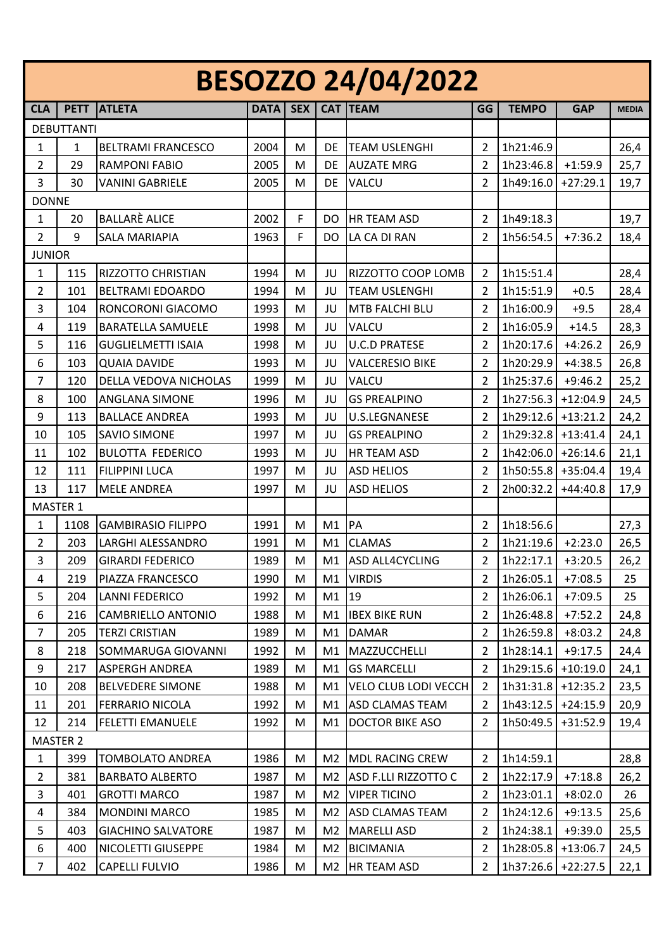| <b>BESOZZO 24/04/2022</b> |                   |                           |             |     |                |                             |                |                      |            |              |
|---------------------------|-------------------|---------------------------|-------------|-----|----------------|-----------------------------|----------------|----------------------|------------|--------------|
| <b>CLA</b>                | <b>PETT</b>       | <b>ATLETA</b>             | <b>DATA</b> | SEX | <b>CAT</b>     | <b>TEAM</b>                 | GG             | <b>TEMPO</b>         | <b>GAP</b> | <b>MEDIA</b> |
|                           | <b>DEBUTTANTI</b> |                           |             |     |                |                             |                |                      |            |              |
| 1                         | 1                 | <b>BELTRAMI FRANCESCO</b> | 2004        | M   | DE             | <b>TEAM USLENGHI</b>        | 2              | 1h21:46.9            |            | 26,4         |
| 2                         | 29                | <b>RAMPONI FABIO</b>      | 2005        | M   | DE             | <b>AUZATE MRG</b>           | $\overline{2}$ | 1h23:46.8            | $+1:59.9$  | 25,7         |
| 3                         | 30                | <b>VANINI GABRIELE</b>    | 2005        | М   | DE             | VALCU                       | 2              | 1h49:16.0            | $+27:29.1$ | 19,7         |
| <b>DONNE</b>              |                   |                           |             |     |                |                             |                |                      |            |              |
| $\mathbf{1}$              | 20                | <b>BALLARÈ ALICE</b>      | 2002        | F   | DO             | HR TEAM ASD                 | 2              | 1h49:18.3            |            | 19,7         |
| $\overline{2}$            | 9                 | <b>SALA MARIAPIA</b>      | 1963        | F   | DO             | LA CA DI RAN                | 2              | 1h56:54.5            | $+7:36.2$  | 18,4         |
| <b>JUNIOR</b>             |                   |                           |             |     |                |                             |                |                      |            |              |
| $\mathbf{1}$              | 115               | RIZZOTTO CHRISTIAN        | 1994        | M   | JU             | RIZZOTTO COOP LOMB          | $\overline{2}$ | 1h15:51.4            |            | 28,4         |
| $\overline{2}$            | 101               | <b>BELTRAMI EDOARDO</b>   | 1994        | M   | JU             | <b>TEAM USLENGHI</b>        | 2              | 1h15:51.9            | $+0.5$     | 28,4         |
| 3                         | 104               | RONCORONI GIACOMO         | 1993        | М   | JU             | MTB FALCHI BLU              | 2              | 1h16:00.9            | $+9.5$     | 28,4         |
| 4                         | 119               | <b>BARATELLA SAMUELE</b>  | 1998        | M   | JU             | VALCU                       | $\overline{2}$ | 1h16:05.9            | $+14.5$    | 28,3         |
| 5                         | 116               | <b>GUGLIELMETTI ISAIA</b> | 1998        | М   | JU             | <b>U.C.D PRATESE</b>        | 2              | 1h20:17.6            | $+4:26.2$  | 26,9         |
| 6                         | 103               | <b>QUAIA DAVIDE</b>       | 1993        | М   | JU             | <b>VALCERESIO BIKE</b>      | 2              | 1h20:29.9            | $+4:38.5$  | 26,8         |
| $\overline{7}$            | 120               | DELLA VEDOVA NICHOLAS     | 1999        | M   | JU             | VALCU                       | 2              | 1h25:37.6            | $+9:46.2$  | 25,2         |
| 8                         | 100               | <b>ANGLANA SIMONE</b>     | 1996        | М   | JU             | <b>GS PREALPINO</b>         | 2              | 1h27:56.3            | $+12:04.9$ | 24,5         |
| 9                         | 113               | <b>BALLACE ANDREA</b>     | 1993        | M   | JU             | <b>U.S.LEGNANESE</b>        | $\overline{2}$ | $1h29:12.6$ +13:21.2 |            | 24,2         |
| 10                        | 105               | <b>SAVIO SIMONE</b>       | 1997        | M   | JU             | <b>GS PREALPINO</b>         | 2              | 1h29:32.8            | $+13:41.4$ | 24,1         |
| 11                        | 102               | <b>BULOTTA FEDERICO</b>   | 1993        | М   | JU             | HR TEAM ASD                 | 2              | 1h42:06.0            | $+26:14.6$ | 21,1         |
| 12                        | 111               | <b>FILIPPINI LUCA</b>     | 1997        | M   | JU             | <b>ASD HELIOS</b>           | $\overline{2}$ | 1h50:55.8 +35:04.4   |            | 19,4         |
| 13                        | 117               | <b>MELE ANDREA</b>        | 1997        | M   | JU             | <b>ASD HELIOS</b>           | 2              | 2h00:32.2            | $+44:40.8$ | 17,9         |
|                           | <b>MASTER 1</b>   |                           |             |     |                |                             |                |                      |            |              |
| 1                         | 1108              | <b>GAMBIRASIO FILIPPO</b> | 1991        | M   | M1             | PA                          | $\overline{2}$ | 1h18:56.6            |            | 27,3         |
| $\overline{2}$            | 203               | LARGHI ALESSANDRO         | 1991        | M   | M1             | <b>CLAMAS</b>               | 2              | 1h21:19.6            | $+2:23.0$  | 26,5         |
| 3                         | 209               | <b>GIRARDI FEDERICO</b>   | 1989        | M   | M1             | ASD ALL4CYCLING             | 2              | 1h22:17.1            | $+3:20.5$  | 26,2         |
| 4                         | 219               | PIAZZA FRANCESCO          | 1990        | M   | M1             | <b>VIRDIS</b>               | $\overline{2}$ | 1h26:05.1            | $+7:08.5$  | 25           |
| 5                         | 204               | <b>LANNI FEDERICO</b>     | 1992        | M   | M1             | 19                          | $\overline{2}$ | 1h26:06.1            | $+7:09.5$  | 25           |
| 6                         | 216               | CAMBRIELLO ANTONIO        | 1988        | M   | M1             | <b>IBEX BIKE RUN</b>        | 2              | 1h26:48.8            | $+7:52.2$  | 24,8         |
| $\overline{7}$            | 205               | <b>TERZI CRISTIAN</b>     | 1989        | M   | M1             | <b>DAMAR</b>                | $\overline{2}$ | 1h26:59.8            | $+8:03.2$  | 24,8         |
| 8                         | 218               | SOMMARUGA GIOVANNI        | 1992        | M   | M1             | MAZZUCCHELLI                | $\overline{2}$ | 1h28:14.1            | $+9:17.5$  | 24,4         |
| 9                         | 217               | <b>ASPERGH ANDREA</b>     | 1989        | M   | M1             | <b>GS MARCELLI</b>          | 2              | 1h29:15.6            | $+10:19.0$ | 24,1         |
| 10                        | 208               | <b>BELVEDERE SIMONE</b>   | 1988        | M   | M1             | <b>VELO CLUB LODI VECCH</b> | $\overline{2}$ | 1h31:31.8 +12:35.2   |            | 23,5         |
| 11                        | 201               | <b>FERRARIO NICOLA</b>    | 1992        | M   | M1             | <b>ASD CLAMAS TEAM</b>      | $\overline{2}$ | $1h43:12.5$ +24:15.9 |            | 20,9         |
| 12                        | 214               | <b>FELETTI EMANUELE</b>   | 1992        | M   | M1             | <b>DOCTOR BIKE ASO</b>      | $\overline{2}$ | 1h50:49.5            | $+31:52.9$ | 19,4         |
|                           | <b>MASTER 2</b>   |                           |             |     |                |                             |                |                      |            |              |
| $\mathbf{1}$              | 399               | <b>TOMBOLATO ANDREA</b>   | 1986        | M   | M2             | <b>MDL RACING CREW</b>      | $\overline{2}$ | 1h14:59.1            |            | 28,8         |
| $\overline{2}$            | 381               | <b>BARBATO ALBERTO</b>    | 1987        | M   | M <sub>2</sub> | ASD F.LLI RIZZOTTO C        | $\overline{2}$ | 1h22:17.9            | $+7:18.8$  | 26,2         |
| 3                         | 401               | <b>GROTTI MARCO</b>       | 1987        | M   | M <sub>2</sub> | <b>VIPER TICINO</b>         | $\overline{2}$ | 1h23:01.1            | $+8:02.0$  | 26           |
| $\overline{a}$            | 384               | <b>MONDINI MARCO</b>      | 1985        | M   | M2             | ASD CLAMAS TEAM             | $\overline{2}$ | 1h24:12.6            | $+9:13.5$  | 25,6         |
| 5                         | 403               | <b>GIACHINO SALVATORE</b> | 1987        | M   | M <sub>2</sub> | <b>MARELLI ASD</b>          | 2              | 1h24:38.1            | $+9:39.0$  | 25,5         |
| 6                         | 400               | NICOLETTI GIUSEPPE        | 1984        | M   | M <sub>2</sub> | <b>BICIMANIA</b>            | $\overline{2}$ | 1h28:05.8            | $+13:06.7$ | 24,5         |
| $\overline{7}$            | 402               | <b>CAPELLI FULVIO</b>     | 1986        | M   | M2             | HR TEAM ASD                 | $\overline{2}$ | $1h37:26.6$ +22:27.5 |            | 22,1         |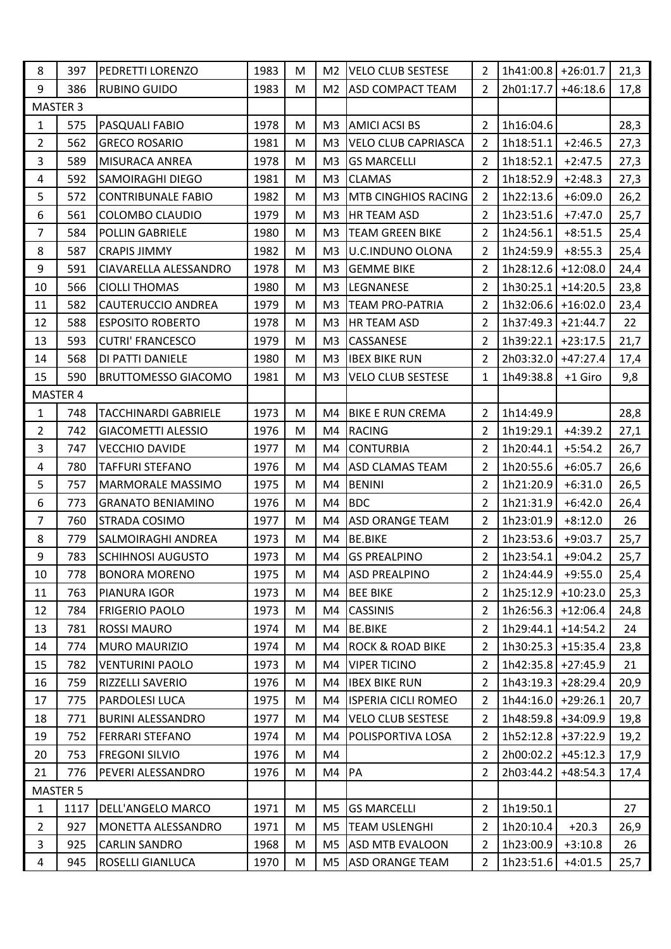| 8                   | 397      | PEDRETTI LORENZO            | 1983 | M | M <sub>2</sub> | <b>VELO CLUB SESTESE</b>    | $\overline{2}$ | $1h41:00.8$ +26:01.7 |            | 21,3 |
|---------------------|----------|-----------------------------|------|---|----------------|-----------------------------|----------------|----------------------|------------|------|
| 9                   | 386      | <b>RUBINO GUIDO</b>         | 1983 | M | M <sub>2</sub> | <b>ASD COMPACT TEAM</b>     | $\overline{2}$ | 2h01:17.7            | $+46:18.6$ | 17,8 |
| MASTER <sub>3</sub> |          |                             |      |   |                |                             |                |                      |            |      |
| $\mathbf{1}$        | 575      | PASQUALI FABIO              | 1978 | M | M <sub>3</sub> | <b>AMICI ACSI BS</b>        | $\overline{2}$ | 1h16:04.6            |            | 28,3 |
| $\overline{2}$      | 562      | <b>GRECO ROSARIO</b>        | 1981 | M | M <sub>3</sub> | <b>VELO CLUB CAPRIASCA</b>  | 2              | 1h18:51.1            | $+2:46.5$  | 27,3 |
| 3                   | 589      | <b>MISURACA ANREA</b>       | 1978 | M | M <sub>3</sub> | <b>GS MARCELLI</b>          | 2              | 1h18:52.1            | $+2:47.5$  | 27,3 |
| 4                   | 592      | <b>SAMOIRAGHI DIEGO</b>     | 1981 | M | M3             | <b>CLAMAS</b>               | $\overline{2}$ | 1h18:52.9            | $+2:48.3$  | 27,3 |
| 5                   | 572      | <b>CONTRIBUNALE FABIO</b>   | 1982 | M | M <sub>3</sub> | <b>MTB CINGHIOS RACING</b>  | $\overline{2}$ | 1h22:13.6            | $+6:09.0$  | 26,2 |
| 6                   | 561      | COLOMBO CLAUDIO             | 1979 | M | M <sub>3</sub> | HR TEAM ASD                 | 2              | 1h23:51.6            | $+7:47.0$  | 25,7 |
| $\overline{7}$      | 584      | <b>POLLIN GABRIELE</b>      | 1980 | M | M3             | <b>TEAM GREEN BIKE</b>      | $\overline{2}$ | 1h24:56.1            | $+8:51.5$  | 25,4 |
| 8                   | 587      | <b>CRAPIS JIMMY</b>         | 1982 | M | M <sub>3</sub> | <b>U.C.INDUNO OLONA</b>     | 2              | 1h24:59.9            | $+8:55.3$  | 25,4 |
| 9                   | 591      | CIAVARELLA ALESSANDRO       | 1978 | M | M <sub>3</sub> | <b>GEMME BIKE</b>           | $\overline{2}$ | $1h28:12.6$ +12:08.0 |            | 24,4 |
| 10                  | 566      | <b>CIOLLI THOMAS</b>        | 1980 | M | M3             | LEGNANESE                   | $\overline{2}$ | $1h30:25.1$ +14:20.5 |            | 23,8 |
| 11                  | 582      | <b>CAUTERUCCIO ANDREA</b>   | 1979 | M | M <sub>3</sub> | <b>TEAM PRO-PATRIA</b>      | $\overline{2}$ | $1h32:06.6$ +16:02.0 |            | 23,4 |
| 12                  | 588      | <b>ESPOSITO ROBERTO</b>     | 1978 | M | M <sub>3</sub> | HR TEAM ASD                 | $\overline{2}$ | $1h37:49.3$ +21:44.7 |            | 22   |
| 13                  | 593      | <b>CUTRI' FRANCESCO</b>     | 1979 | M | M3             | CASSANESE                   | $\overline{2}$ | $1h39:22.1$ +23:17.5 |            | 21,7 |
| 14                  | 568      | DI PATTI DANIELE            | 1980 | M | M <sub>3</sub> | <b>IBEX BIKE RUN</b>        | 2              | 2h03:32.0 +47:27.4   |            | 17,4 |
| 15                  | 590      | <b>BRUTTOMESSO GIACOMO</b>  | 1981 | M | M <sub>3</sub> | <b>VELO CLUB SESTESE</b>    | $\mathbf{1}$   | 1h49:38.8            | +1 Giro    | 9,8  |
|                     | MASTER 4 |                             |      |   |                |                             |                |                      |            |      |
| 1                   | 748      | <b>TACCHINARDI GABRIELE</b> | 1973 | M | M4             | <b>BIKE E RUN CREMA</b>     | $\overline{2}$ | 1h14:49.9            |            | 28,8 |
| $\overline{2}$      | 742      | <b>GIACOMETTI ALESSIO</b>   | 1976 | M | M4             | <b>RACING</b>               | $\overline{2}$ | 1h19:29.1            | $+4:39.2$  | 27,1 |
| 3                   | 747      | <b>VECCHIO DAVIDE</b>       | 1977 | M | M4             | <b>CONTURBIA</b>            | $\overline{2}$ | 1h20:44.1            | $+5:54.2$  | 26,7 |
| $\overline{a}$      | 780      | <b>TAFFURI STEFANO</b>      | 1976 | M | M4             | ASD CLAMAS TEAM             | $\overline{2}$ | 1h20:55.6            | $+6:05.7$  | 26,6 |
| 5                   | 757      | MARMORALE MASSIMO           | 1975 | M | M4             | <b>BENINI</b>               | $\overline{2}$ | 1h21:20.9            | $+6:31.0$  | 26,5 |
| 6                   | 773      | <b>GRANATO BENIAMINO</b>    | 1976 | M | M4             | <b>BDC</b>                  | $\overline{2}$ | 1h21:31.9            | $+6:42.0$  | 26,4 |
| $\overline{7}$      | 760      | STRADA COSIMO               | 1977 | M | M4             | ASD ORANGE TEAM             | $\overline{2}$ | 1h23:01.9            | $+8:12.0$  | 26   |
| 8                   | 779      | SALMOIRAGHI ANDREA          | 1973 | M | M4             | <b>BE.BIKE</b>              | $\overline{2}$ | 1h23:53.6            | $+9:03.7$  | 25,7 |
| 9                   | 783      | <b>SCHIHNOSI AUGUSTO</b>    | 1973 | M | M4             | <b>GS PREALPINO</b>         | 2              | 1h23:54.1            | $+9:04.2$  | 25,7 |
| 10                  | 778      | <b>BONORA MORENO</b>        | 1975 | M | M4             | <b>ASD PREALPINO</b>        | 2              | 1h24:44.9            | $+9:55.0$  | 25,4 |
| 11                  | 763      | PIANURA IGOR                | 1973 | M | M4             | <b>BEE BIKE</b>             | $\overline{2}$ | 1h25:12.9            | $+10:23.0$ | 25,3 |
| 12                  | 784      | <b>FRIGERIO PAOLO</b>       | 1973 | М | M4             | <b>CASSINIS</b>             | $\overline{2}$ | 1h26:56.3            | $+12:06.4$ | 24,8 |
| 13                  | 781      | <b>ROSSI MAURO</b>          | 1974 | M | M4             | <b>BE.BIKE</b>              | $\overline{2}$ | $1h29:44.1$ +14:54.2 |            | 24   |
| 14                  | 774      | MURO MAURIZIO               | 1974 | M | M4             | <b>ROCK &amp; ROAD BIKE</b> | $\overline{2}$ | $1h30:25.3$ +15:35.4 |            | 23,8 |
| 15                  | 782      | <b>VENTURINI PAOLO</b>      | 1973 | М | M4             | <b>VIPER TICINO</b>         | 2              | $1h42:35.8$ +27:45.9 |            | 21   |
| 16                  | 759      | <b>RIZZELLI SAVERIO</b>     | 1976 | M | M4             | <b>IBEX BIKE RUN</b>        | $\overline{2}$ | $1h43:19.3$ +28:29.4 |            | 20,9 |
| 17                  | 775      | <b>PARDOLESI LUCA</b>       | 1975 | M | M4             | <b>ISPERIA CICLI ROMEO</b>  | $\overline{2}$ | 1h44:16.0 +29:26.1   |            | 20,7 |
| 18                  | 771      | <b>BURINI ALESSANDRO</b>    | 1977 | M | M4             | <b>VELO CLUB SESTESE</b>    | $\overline{2}$ | 1h48:59.8 + 34:09.9  |            | 19,8 |
| 19                  | 752      | <b>FERRARI STEFANO</b>      | 1974 | M | M4             | POLISPORTIVA LOSA           | $\overline{2}$ | $1h52:12.8$ +37:22.9 |            | 19,2 |
| 20                  | 753      | <b>FREGONI SILVIO</b>       | 1976 | M | M4             |                             | $\overline{2}$ | 2h00:02.2            | $+45:12.3$ | 17,9 |
| 21                  | 776      | PEVERI ALESSANDRO           | 1976 | M | M4             | PA                          | $\overline{2}$ | 2h03:44.2            | $+48:54.3$ | 17,4 |
| <b>MASTER 5</b>     |          |                             |      |   |                |                             |                |                      |            |      |
| $\mathbf{1}$        | 1117     | <b>DELL'ANGELO MARCO</b>    | 1971 | M | M <sub>5</sub> | <b>GS MARCELLI</b>          | $\overline{2}$ | 1h19:50.1            |            | 27   |
| $\overline{2}$      | 927      | MONETTA ALESSANDRO          | 1971 | M | M <sub>5</sub> | <b>TEAM USLENGHI</b>        | 2              | 1h20:10.4            | $+20.3$    | 26,9 |
| $\overline{3}$      | 925      | <b>CARLIN SANDRO</b>        | 1968 | M | M5             | <b>ASD MTB EVALOON</b>      | $\overline{2}$ | 1h23:00.9            | $+3:10.8$  | 26   |
| $\overline{4}$      | 945      | <b>ROSELLI GIANLUCA</b>     | 1970 | M | M <sub>5</sub> | <b>ASD ORANGE TEAM</b>      | $\overline{2}$ | 1h23:51.6            | $+4:01.5$  | 25,7 |